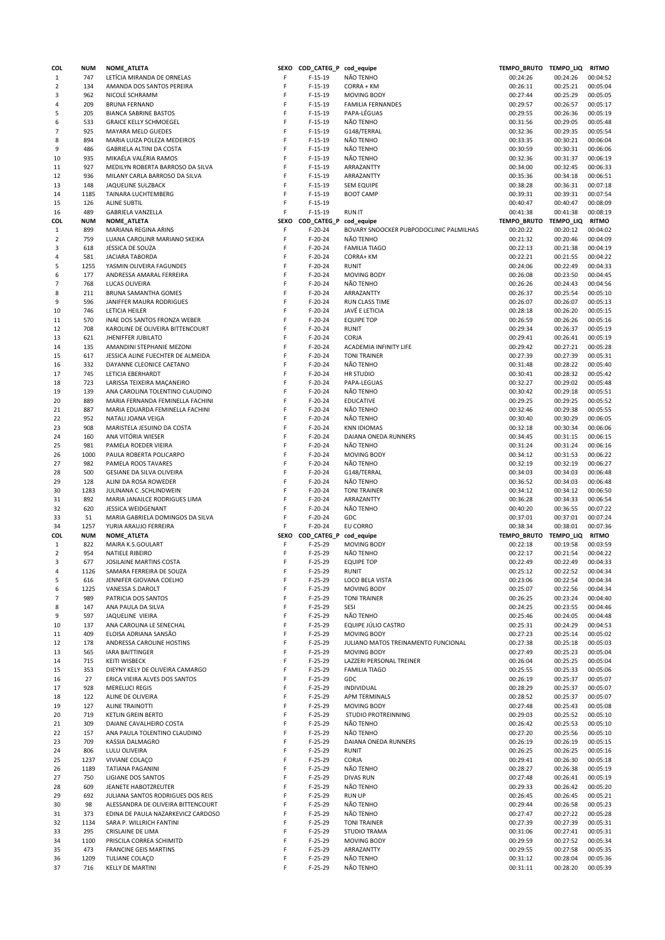| COL            | <b>NUM</b>  | NOME_ATLETA                               | <b>SEXO</b> | COD_CATEG_P cod_equipe |                                         | TEMPO_BRUTO TEMPO_LIQ |                      | <b>RITMO</b>         |
|----------------|-------------|-------------------------------------------|-------------|------------------------|-----------------------------------------|-----------------------|----------------------|----------------------|
| $\mathbf{1}$   | 747         | LETÍCIA MIRANDA DE ORNELAS                | F           | $F-15-19$              | NÃO TENHO                               | 00:24:26              | 00:24:26             | 00:04:52             |
| $\overline{2}$ | 134         | AMANDA DOS SANTOS PEREIRA                 | F           | $F-15-19$              | CORRA + KM                              | 00:26:11              | 00:25:21             | 00:05:04             |
| 3              | 962         | NICOLE SCHRAMM                            | F           | $F-15-19$              | <b>MOVING BODY</b>                      | 00:27:44              | 00:25:29             | 00:05:05             |
| 4              | 209         | <b>BRUNA FERNAND</b>                      | F           | $F-15-19$              | <b>FAMILIA FERNANDES</b>                | 00:29:57              | 00:26:57             | 00:05:17             |
| 5              | 205         | <b>BIANCA SABRINE BASTOS</b>              | F           | $F-15-19$              | PAPA-LÉGUAS                             | 00:29:55              | 00:26:36             | 00:05:19             |
| 6              | 533         | <b>GRAICE KELLY SCHMOEGEL</b>             | F           | $F-15-19$              | NÃO TENHO                               | 00:31:56              | 00:29:05             | 00:05:48             |
| $\overline{7}$ | 925         | <b>MAYARA MELO GUEDES</b>                 | F           | $F-15-19$              | G148/TERRAL                             | 00:32:36              | 00:29:35             | 00:05:54             |
| 8              | 894         | MARIA LUIZA POLEZA MEDEIROS               | F           | $F-15-19$              | NÃO TENHO                               | 00:33:35              | 00:30:21             | 00:06:04             |
| 9              | 486         | GABRIELA ALTINI DA COSTA                  | F           | $F-15-19$              | NÃO TENHO                               | 00:30:59              | 00:30:31             | 00:06:06             |
| 10             | 935         | MIKAÉLA VALÉRIA RAMOS                     | F           | $F-15-19$              | NÃO TENHO                               | 00:32:36              | 00:31:37             | 00:06:19             |
| 11             | 927         | MEDILYN ROBERTA BARROSO DA SILVA          | F           | $F-15-19$              |                                         | 00:34:00              | 00:32:45             | 00:06:33             |
|                |             |                                           |             |                        | ARRAZANTTY                              |                       |                      |                      |
| 12             | 936         | MILANY CARLA BARROSO DA SILVA             | F           | $F-15-19$              | ARRAZANTTY                              | 00:35:36              | 00:34:18             | 00:06:51             |
| 13             | 148         | JAQUELINE SULZBACK                        | F           | $F-15-19$              | <b>SEM EQUIPE</b>                       | 00:38:28              | 00:36:31             | 00:07:18             |
| 14             | 1185        | TAINARA LUCHTEMBERG                       | F           | $F-15-19$              | <b>BOOT CAMP</b>                        | 00:39:31              | 00:39:31             | 00:07:54             |
| 15             | 126         | <b>ALINE SUBTIL</b>                       | F           | $F-15-19$              |                                         | 00:40:47              | 00:40:47             | 00:08:09             |
| 16             | 489         | <b>GABRIELA VANZELLA</b>                  | F           | $F-15-19$              | <b>RUN IT</b>                           | 00:41:38              | 00:41:38             | 00:08:19             |
| COL            | <b>NUM</b>  | <b>NOME ATLETA</b>                        | SEXO        | COD CATEG P cod equipe |                                         | TEMPO_BRUTO TEMPO_LIQ |                      | <b>RITMO</b>         |
| $\mathbf{1}$   | 899         | MARIANA REGINA ARINS                      | F           | $F-20-24$              | BOVARY SNOOCKER PUBPODOCLINIC PALMILHAS | 00:20:22              | 00:20:12             | 00:04:02             |
| $\overline{2}$ | 759         | LUANA CAROLINR MARIANO SKEIKA             | F           | $F-20-24$              | NÃO TENHO                               | 00:21:32              | 00:20:46             | 00:04:09             |
| 3              | 618         | JESSICA DE SOUZA                          | F           | $F-20-24$              | <b>FAMILIA TIAGO</b>                    | 00:22:13              | 00:21:38             | 00:04:19             |
| 4              | 581         | <b>JACIARA TABORDA</b>                    | F           | $F-20-24$              | CORRA+ KM                               | 00:22:21              | 00:21:55             | 00:04:22             |
| 5              | 1255        | YASMIN OLIVEIRA FAGUNDES                  | F           | $F-20-24$              | <b>RUNIT</b>                            | 00:24:06              | 00:22:49             | 00:04:33             |
|                |             |                                           | F           |                        |                                         |                       |                      |                      |
| 6              | 177         | ANDRESSA AMARAL FERREIRA                  |             | $F-20-24$              | <b>MOVING BODY</b>                      | 00:26:08              | 00:23:50             | 00:04:45             |
| $\overline{7}$ | 768         | <b>LUCAS OLIVEIRA</b>                     | F           | $F-20-24$              | NÃO TENHO                               | 00:26:26              | 00:24:43             | 00:04:56             |
| 8              | 211         | BRUNA SAMANTHA GOMES                      | F           | $F-20-24$              | ARRAZANTTY                              | 00:26:37              | 00:25:54             | 00:05:10             |
| 9              | 596         | JANIFFER MAURA RODRIGUES                  | F           | $F-20-24$              | RUN CLASS TIME                          | 00:26:07              | 00:26:07             | 00:05:13             |
| 10             | 746         | LETICIA HEILER                            | F           | $F-20-24$              | JAVÉ E LETICIA                          | 00:28:18              | 00:26:20             | 00:05:15             |
| 11             | 570         | INAE DOS SANTOS FRONZA WEBER              | F           | $F-20-24$              | <b>EQUIPE TOP</b>                       | 00:26:59              | 00:26:26             | 00:05:16             |
| 12             | 708         | KAROLINE DE OLIVEIRA BITTENCOURT          | F           | $F-20-24$              | <b>RUNIT</b>                            | 00:29:34              | 00:26:37             | 00:05:19             |
| 13             | 621         | <b>JHENIFFER JUBILATO</b>                 | F           | $F-20-24$              | CORJA                                   | 00:29:41              | 00:26:41             | 00:05:19             |
| 14             | 135         | AMANDINI STEPHANIE MEZONI                 | F           | $F-20-24$              | ACADEMIA INFINITY LIFE                  | 00:29:42              | 00:27:21             | 00:05:28             |
| 15             | 617         | JESSICA ALINE FUECHTER DE ALMEIDA         | F           | $F-20-24$              | <b>TONI TRAINER</b>                     | 00:27:39              | 00:27:39             | 00:05:31             |
|                | 332         | DAYANNE CLEONICE CAETANO                  | F           | $F-20-24$              | NÃO TENHO                               | 00:31:48              | 00:28:22             | 00:05:40             |
| 16             |             |                                           | F           |                        |                                         |                       |                      |                      |
| 17             | 745         | LETICIA EBERHARDT                         |             | $F-20-24$              | <b>HR STUDIO</b>                        | 00:30:41              | 00:28:32             | 00:05:42             |
| 18             | 723         | LARISSA TEIXEIRA MAÇANEIRO                | F           | $F-20-24$              | PAPA-LEGUAS                             | 00:32:27              | 00:29:02             | 00:05:48             |
| 19             | 139         | ANA CAROLINA TOLENTINO CLAUDINO           | F           | $F-20-24$              | NÃO TENHO                               | 00:30:42              | 00:29:18             | 00:05:51             |
| 20             | 889         | MARIA FERNANDA FEMINELLA FACHINI          | F           | $F-20-24$              | <b>EDUCATIVE</b>                        | 00:29:25              | 00:29:25             | 00:05:52             |
| 21             | 887         | MARIA EDUARDA FEMINELLA FACHINI           | F           | $F-20-24$              | NÃO TENHO                               | 00:32:46              | 00:29:38             | 00:05:55             |
| 22             | 952         | NATALI JOANA VEIGA                        | F           | $F-20-24$              | NÃO TENHO                               | 00:30:40              | 00:30:29             | 00:06:05             |
| 23             | 908         | MARISTELA JESUINO DA COSTA                | F           | $F-20-24$              | <b>KNN IDIOMAS</b>                      | 00:32:18              | 00:30:34             | 00:06:06             |
| 24             | 160         | ANA VITÓRIA WIESER                        | F           | $F-20-24$              | DAIANA ONEDA RUNNERS                    | 00:34:45              | 00:31:15             | 00:06:15             |
| 25             | 981         | PAMELA ROEDER VIEIRA                      | F           | $F-20-24$              | NÃO TENHO                               | 00:31:24              | 00:31:24             | 00:06:16             |
| 26             | 1000        | PAULA ROBERTA POLICARPO                   | F           | $F-20-24$              | <b>MOVING BODY</b>                      | 00:34:12              | 00:31:53             | 00:06:22             |
|                | 982         | PAMELA ROOS TAVARES                       | F           | $F-20-24$              | NÃO TENHO                               | 00:32:19              | 00:32:19             | 00:06:27             |
|                |             |                                           |             |                        |                                         |                       |                      |                      |
| 27             |             |                                           |             |                        |                                         |                       |                      |                      |
| 28             | 500         | GESIANE DA SILVA OLIVEIRA                 | F           | $F-20-24$              | G148/TERRAL                             | 00:34:03              | 00:34:03             | 00:06:48             |
| 29             | 128         | ALINI DA ROSA ROWEDER                     | F           | $F-20-24$              | NÃO TENHO                               | 00:36:52              | 00:34:03             | 00:06:48             |
| 30             | 1283        | JULINANA C.SCHLINDWEIN                    | F           | $F-20-24$              | <b>TONI TRAINER</b>                     | 00:34:12              | 00:34:12             | 00:06:50             |
| 31             | 892         | MARIA JANAILCE RODRIGUES LIMA             | F           | $F-20-24$              | ARRAZANTTY                              | 00:36:28              | 00:34:33             | 00:06:54             |
| 32             | 620         | <b>JESSICA WEIDGENANT</b>                 | F           | $F-20-24$              | NÃO TENHO                               | 00:40:20              | 00:36:55             | 00:07:22             |
| 33             | 51          | MARIA GABRIELA DOMINGOS DA SILVA          | F           | $F-20-24$              | GDC                                     | 00:37:01              | 00:37:01             | 00:07:24             |
| 34             | 1257        | YURIA ARAUJO FERREIRA                     | F           | $F-20-24$              | EU CORRO                                | 00:38:34              | 00:38:01             | 00:07:36             |
| COL            | NUM         | NOME_ATLETA                               | <b>SEXO</b> | COD_CATEG_P cod_equipe |                                         | <b>TEMPO_BRUTO</b>    | <b>TEMPO_LIQ</b>     | <b>RITMO</b>         |
| $\mathbf{1}$   | 822         | MAIRA K.S.GOULART                         | F           | $F-25-29$              | <b>MOVING BODY</b>                      | 00:22:18              | 00:19:58             | 00:03:59             |
| $\overline{2}$ | 954         | NATIELE RIBEIRO                           | F           | $F-25-29$              | NÃO TENHO                               | 00:22:17              | 00:21:54             | 00:04:22             |
| 3              | 677         |                                           | F           |                        |                                         |                       |                      |                      |
|                |             | JOSILAINE MARTINS COSTA                   |             | $F-25-29$              | <b>EQUIPE TOP</b>                       | 00:22:49              | 00:22:49             | 00:04:33             |
| 4              | 1126        | SAMARA FERREIRA DE SOUZA                  | F           | $F-25-29$              | <b>RUNIT</b>                            | 00:25:12              | 00:22:52             | 00:04:34             |
| 5              | 616         | JENNIFER GIOVANA COELHO                   | F           | $F-25-29$              | LOCO BELA VISTA                         | 00:23:06              | 00:22:54             | 00:04:34             |
| 6              | 1225        | VANESSA S.DAROLT                          | F           | $F-25-29$              | <b>MOVING BODY</b>                      | 00:25:07              | 00:22:56             | 00:04:34             |
| 7              | 989         | PATRICIA DOS SANTOS                       | F           | $F-25-29$              | <b>TONI TRAINER</b>                     | 00:26:25              | 00:23:24             | 00:04:40             |
| 8              | 147         | ANA PAULA DA SILVA                        | F           | $F-25-29$              | SESI                                    | 00:24:25              | 00:23:55             | 00:04:46             |
| 9              | 597         | JAQUELINE VIEIRA                          | F           | $F-25-29$              | NÃO TENHO                               | 00:25:46              | 00:24:05             | 00:04:48             |
| 10             | 137         | ANA CAROLINA LE SENECHAL                  | F           | $F-25-29$              | EQUIPE JÚLIO CASTRO                     | 00:25:31              | 00:24:29             | 00:04:53             |
| 11             | 409         | ELOISA ADRIANA SANSÃO                     | F           | $F-25-29$              | <b>MOVING BODY</b>                      | 00:27:23              | 00:25:14             | 00:05:02             |
| 12             | 178         | ANDRESSA CAROLINE HOSTINS                 | F           | $F-25-29$              | JULIANO MATOS TREINAMENTO FUNCIONAL     | 00:27:38              | 00:25:18             | 00:05:03             |
| 13             | 565         | <b>IARA BAITTINGER</b>                    | F           | $F-25-29$              | <b>MOVING BODY</b>                      | 00:27:49              | 00:25:23             | 00:05:04             |
| 14             | 715         | <b>KEITI WISBECK</b>                      | F           | $F-25-29$              | LAZZERI PERSONAL TREINER                | 00:26:04              | 00:25:25             | 00:05:04             |
| 15             | 353         | DIEYNY KELY DE OLIVEIRA CAMARGO           | F           | $F-25-29$              | <b>FAMILIA TIAGO</b>                    | 00:25:55              | 00:25:33             | 00:05:06             |
| 16             | 27          | ERICA VIEIRA ALVES DOS SANTOS             | F           | $F-25-29$              | GDC                                     | 00:26:19              | 00:25:37             | 00:05:07             |
|                |             | <b>MERELUCI REGIS</b>                     | F           |                        |                                         |                       | 00:25:37             |                      |
| 17             | 928         |                                           |             | $F-25-29$              | INDIVIDUAL                              | 00:28:29              |                      | 00:05:07             |
| 18             | 122         | ALINE DE OLIVEIRA                         | F           | $F-25-29$              | APM TERMINALS                           | 00:28:52              | 00:25:37             | 00:05:07             |
| 19             | 127         | <b>ALINE TRAINOTTI</b>                    | F           | $F-25-29$              | <b>MOVING BODY</b>                      | 00:27:48              | 00:25:43             | 00:05:08             |
| 20             | 719         | <b>KETLIN GREIN BERTO</b>                 | F           | $F-25-29$              | STUDIO PROTREINNING                     | 00:29:03              | 00:25:52             | 00:05:10             |
| 21             | 309         | DAIANE CAVALHEIRO COSTA                   | F           | $F-25-29$              | NÃO TENHO                               | 00:26:42              | 00:25:53             | 00:05:10             |
| 22             | 157         | ANA PAULA TOLENTINO CLAUDINO              | F           | $F-25-29$              | NÃO TENHO                               | 00:27:20              | 00:25:56             | 00:05:10             |
| 23             | 709         | KASSIA DALMAGRO                           | F           | $F-25-29$              | DAIANA ONEDA RUNNERS                    | 00:26:19              | 00:26:19             | 00:05:15             |
| 24             | 806         | LULU OLIVEIRA                             | F           | $F-25-29$              | <b>RUNIT</b>                            | 00:26:25              | 00:26:25             | 00:05:16             |
| 25             | 1237        | VIVIANE COLAÇO                            | F           | $F-25-29$              | CORJA                                   | 00:29:41              | 00:26:30             | 00:05:18             |
| 26             | 1189        | <b>TATIANA PAGANINI</b>                   | F           | $F-25-29$              | NÃO TENHO                               | 00:28:27              | 00:26:38             | 00:05:19             |
| 27             | 750         | LIGIANE DOS SANTOS                        | F           | $F-25-29$              | <b>DIVAS RUN</b>                        | 00:27:48              | 00:26:41             | 00:05:19             |
| 28             | 609         | JEANETE HABOTZREUTER                      | F           | $F-25-29$              | NÃO TENHO                               | 00:29:33              | 00:26:42             | 00:05:20             |
| 29             | 692         | JULIANA SANTOS RODRIGUES DOS REIS         | F           | $F-25-29$              | <b>RUN UP</b>                           | 00:26:45              | 00:26:45             | 00:05:21             |
| 30             | 98          | ALESSANDRA DE OLIVEIRA BITTENCOURT        | F           | $F-25-29$              | NÃO TENHO                               | 00:29:44              | 00:26:58             | 00:05:23             |
|                |             |                                           | F           |                        |                                         |                       |                      |                      |
| 31             | 373         | EDINA DE PAULA NAZARKEVICZ CARDOSO        |             | $F-25-29$              | NÃO TENHO                               | 00:27:47              | 00:27:22             | 00:05:28             |
| 32             | 1134        | SARA P. WILLRICH FANTINI                  | F           | $F-25-29$              | <b>TONI TRAINER</b>                     | 00:27:39              | 00:27:39             | 00:05:31             |
| 33             | 295         | CRISLAINE DE LIMA                         | F           | $F-25-29$              | <b>STUDIO TRAMA</b>                     | 00:31:06              | 00:27:41             | 00:05:31             |
| 34             | 1100        | PRISCILA CORREA SCHIMITD                  | F           | $F-25-29$              | <b>MOVING BODY</b>                      | 00:29:59              | 00:27:52             | 00:05:34             |
| 35             | 473         | <b>FRANCINE GEIS MARTINS</b>              | F           | $F-25-29$              | ARRAZANTTY                              | 00:29:55              | 00:27:58             | 00:05:35             |
| 36<br>37       | 1209<br>716 | TULIANE COLAÇO<br><b>KELLY DE MARTINI</b> | F<br>F      | $F-25-29$<br>$F-25-29$ | NÃO TENHO<br>NÃO TENHO                  | 00:31:12<br>00:31:11  | 00:28:04<br>00:28:20 | 00:05:36<br>00:05:39 |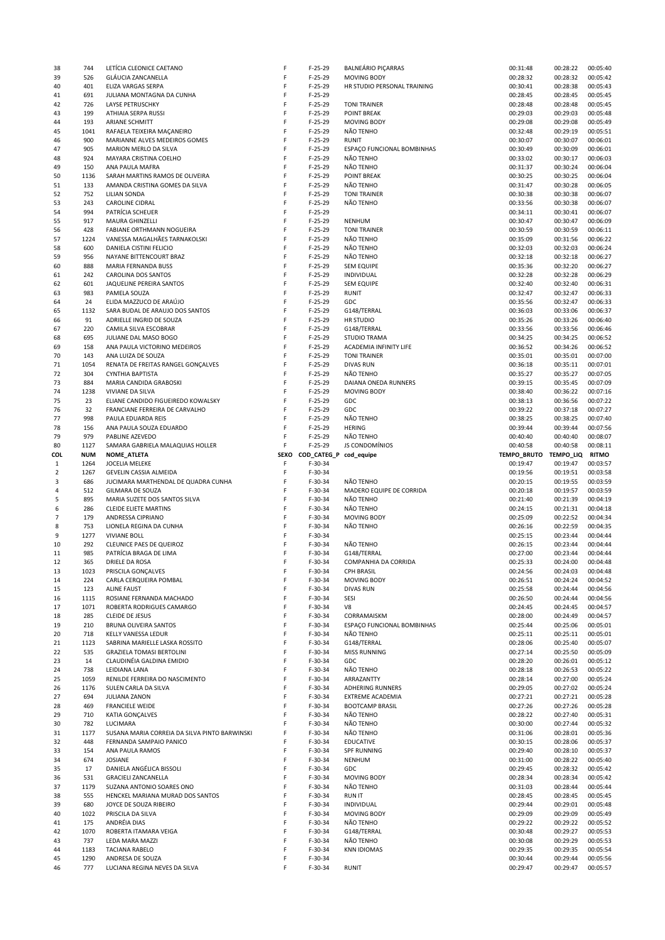| 38             | 744         | LETÍCIA CLEONICE CAETANO                          | F      | $F-25-29$              | <b>BALNEÁRIO PIÇARRAS</b>   | 00:31:48              | 00:28:22             | 00:05:40             |
|----------------|-------------|---------------------------------------------------|--------|------------------------|-----------------------------|-----------------------|----------------------|----------------------|
| 39             | 526         | GLÁUCIA ZANCANELLA                                | F      | $F-25-29$              | <b>MOVING BODY</b>          | 00:28:32              | 00:28:32             | 00:05:42             |
| 40             | 401         | <b>ELIZA VARGAS SERPA</b>                         | F      | $F-25-29$              | HR STUDIO PERSONAL TRAINING | 00:30:41              | 00:28:38             | 00:05:43             |
| 41             | 691         | JULIANA MONTAGNA DA CUNHA                         | F      | $F-25-29$              |                             | 00:28:45              | 00:28:45             | 00:05:45             |
| 42             | 726         | <b>LAYSE PETRUSCHKY</b>                           | F      | $F-25-29$              | <b>TONI TRAINER</b>         | 00:28:48              | 00:28:48             | 00:05:45             |
| 43             | 199         | ATHIAIA SERPA RUSSI                               | F      | $F-25-29$              | <b>POINT BREAK</b>          | 00:29:03              | 00:29:03             | 00:05:48             |
| 44             | 193         | <b>ARIANE SCHMITT</b>                             | F      | $F-25-29$              | MOVING BODY                 | 00:29:08              | 00:29:08             | 00:05:49             |
|                | 1041        |                                                   | F      | $F-25-29$              | NÃO TENHO                   | 00:32:48              | 00:29:19             | 00:05:51             |
| 45             |             | RAFAELA TEIXEIRA MAÇANEIRO                        |        |                        |                             |                       |                      |                      |
| 46             | 900         | MARIANNE ALVES MEDEIROS GOMES                     | F      | $F-25-29$              | <b>RUNIT</b>                | 00:30:07              | 00:30:07             | 00:06:01             |
| 47             | 905         | MARION MERLO DA SILVA                             | F      | $F-25-29$              | ESPAÇO FUNCIONAL BOMBINHAS  | 00:30:49              | 00:30:09             | 00:06:01             |
| 48             | 924         | MAYARA CRISTINA COELHO                            | F      | $F-25-29$              | NÃO TENHO                   | 00:33:02              | 00:30:17             | 00:06:03             |
| 49             | 150         | ANA PAULA MAFRA                                   | F      | $F-25-29$              | NÃO TENHO                   | 00:31:37              | 00:30:24             | 00:06:04             |
| 50             | 1136        | SARAH MARTINS RAMOS DE OLIVEIRA                   | F      | $F-25-29$              | POINT BREAK                 | 00:30:25              | 00:30:25             | 00:06:04             |
| 51             | 133         | AMANDA CRISTINA GOMES DA SILVA                    | F      | $F-25-29$              | NÃO TENHO                   | 00:31:47              | 00:30:28             | 00:06:05             |
| 52             | 752         | LILIAN SONDA                                      | F      | $F-25-29$              | <b>TONI TRAINER</b>         | 00:30:38              | 00:30:38             | 00:06:07             |
| 53             | 243         | CAROLINE CIDRAL                                   | F      | $F-25-29$              | NÃO TENHO                   | 00:33:56              | 00:30:38             | 00:06:07             |
| 54             | 994         | PATRÍCIA SCHEUER                                  | F      | $F-25-29$              |                             | 00:34:11              | 00:30:41             | 00:06:07             |
| 55             | 917         | MAURA GHINZELLI                                   | F      | $F-25-29$              | <b>NENHUM</b>               | 00:30:47              | 00:30:47             | 00:06:09             |
|                |             |                                                   |        |                        |                             |                       |                      |                      |
| 56             | 428         | FABIANE ORTHMANN NOGUEIRA                         | F      | $F-25-29$              | <b>TONI TRAINER</b>         | 00:30:59              | 00:30:59             | 00:06:11             |
| 57             | 1224        | VANESSA MAGALHÄES TARNAKOLSKI                     | F      | $F-25-29$              | NÃO TENHO                   | 00:35:09              | 00:31:56             | 00:06:22             |
| 58             | 600         | DANIELA CISTINI FELICIO                           | F      | $F-25-29$              | NÃO TENHO                   | 00:32:03              | 00:32:03             | 00:06:24             |
| 59             | 956         | NAYANE BITTENCOURT BRAZ                           | F      | $F-25-29$              | NÃO TENHO                   | 00:32:18              | 00:32:18             | 00:06:27             |
| 60             | 888         | MARIA FERNANDA BUSS                               | F      | $F-25-29$              | <b>SEM EQUIPE</b>           | 00:35:36              | 00:32:20             | 00:06:27             |
| 61             | 242         | CAROLINA DOS SANTOS                               | F      | $F-25-29$              | INDIVIDUAL                  | 00:32:28              | 00:32:28             | 00:06:29             |
| 62             | 601         | JAQUELINE PEREIRA SANTOS                          | F      | $F-25-29$              | <b>SEM EQUIPE</b>           | 00:32:40              | 00:32:40             | 00:06:31             |
| 63             | 983         | PAMELA SOUZA                                      | F      | $F-25-29$              | <b>RUNIT</b>                | 00:32:47              | 00:32:47             | 00:06:33             |
| 64             | 24          | ELIDA MAZZUCO DE ARAÚJO                           | F      | $F-25-29$              | GDC                         | 00:35:56              | 00:32:47             | 00:06:33             |
| 65             | 1132        | SARA BUDAL DE ARAUJO DOS SANTOS                   | F      | $F-25-29$              | G148/TERRAL                 | 00:36:03              | 00:33:06             | 00:06:37             |
| 66             | 91          | ADRIELLE INGRID DE SOUZA                          | F      | $F-25-29$              | <b>HR STUDIO</b>            | 00:35:26              | 00:33:26             | 00:06:40             |
|                |             |                                                   | F      |                        |                             |                       |                      |                      |
| 67             | 220         | CAMILA SILVA ESCOBRAR                             |        | $F-25-29$              | G148/TERRAL                 | 00:33:56              | 00:33:56             | 00:06:46             |
| 68             | 695         | JULIANE DAL MASO BOGO                             | F      | $F-25-29$              | <b>STUDIO TRAMA</b>         | 00:34:25              | 00:34:25             | 00:06:52             |
| 69             | 158         | ANA PAULA VICTORINO MEDEIROS                      | F      | $F-25-29$              | ACADEMIA INFINITY LIFE      | 00:36:52              | 00:34:26             | 00:06:52             |
| 70             | 143         | ANA LUIZA DE SOUZA                                | F      | $F-25-29$              | <b>TONI TRAINER</b>         | 00:35:01              | 00:35:01             | 00:07:00             |
| 71             | 1054        | RENATA DE FREITAS RANGEL GONÇALVES                | F      | $F-25-29$              | <b>DIVAS RUN</b>            | 00:36:18              | 00:35:11             | 00:07:01             |
| 72             | 304         | CYNTHIA BAPTISTA                                  | F      | $F-25-29$              | NÃO TENHO                   | 00:35:27              | 00:35:27             | 00:07:05             |
| 73             | 884         | MARIA CANDIDA GRABOSKI                            | F      | $F-25-29$              | DAIANA ONEDA RUNNERS        | 00:39:15              | 00:35:45             | 00:07:09             |
| 74             | 1238        | VIVIANE DA SILVA                                  | F      | $F-25-29$              | <b>MOVING BODY</b>          | 00:38:40              | 00:36:22             | 00:07:16             |
| 75             | 23          | ELIANE CANDIDO FIGUEIREDO KOWALSKY                | F      | $F-25-29$              | GDC                         | 00:38:13              | 00:36:56             | 00:07:22             |
|                | 32          | FRANCIANE FERREIRA DE CARVALHO                    | F      | $F-25-29$              | GDC                         | 00:39:22              | 00:37:18             | 00:07:27             |
| 76             |             |                                                   |        |                        |                             |                       |                      |                      |
| 77             | 998         | PAULA EDUARDA REIS                                | F      | $F-25-29$              | NÃO TENHO                   | 00:38:25              | 00:38:25             | 00:07:40             |
| 78             | 156         | ANA PAULA SOUZA EDUARDO                           | F      | $F-25-29$              | <b>HERING</b>               | 00:39:44              | 00:39:44             | 00:07:56             |
| 79             | 979         | PABLINE AZEVEDO                                   | F      | $F-25-29$              | NÃO TENHO                   | 00:40:40              | 00:40:40             | 00:08:07             |
| 80             | 1127        | SAMARA GABRIELA MALAQUIAS HOLLER                  | F      | $F-25-29$              | JS CONDOMÍNIOS              | 00:40:58              | 00:40:58             | 00:08:11             |
| COL            | <b>NUM</b>  | NOME_ATLETA                                       | SEXO   | COD_CATEG_P cod_equipe |                             | TEMPO_BRUTO TEMPO_LIQ |                      | <b>RITMO</b>         |
|                |             |                                                   |        |                        |                             |                       |                      |                      |
| $\mathbf{1}$   | 1264        | <b>JOCELIA MELEKE</b>                             | F      | $F-30-34$              |                             | 00:19:47              | 00:19:47             | 00:03:57             |
| $\overline{2}$ | 1267        | GEVELIN CASSIA ALMEIDA                            | F      | $F-30-34$              |                             | 00:19:56              | 00:19:51             | 00:03:58             |
| 3              | 686         | JUCIMARA MARTHENDAL DE QUADRA CUNHA               | F      | F-30-34                | NÃO TENHO                   | 00:20:15              | 00:19:55             | 00:03:59             |
| 4              | 512         |                                                   | F      |                        |                             |                       | 00:19:57             |                      |
|                |             | GILMARA DE SOUZA                                  |        | $F-30-34$              | MADERO EQUIPE DE CORRIDA    | 00:20:18              |                      | 00:03:59             |
| 5              | 895         | MARIA SUZETE DOS SANTOS SILVA                     | F      | $F-30-34$              | NÃO TENHO                   | 00:21:40              | 00:21:39             | 00:04:19             |
| 6              | 286         | <b>CLEIDE ELIETE MARTINS</b>                      | F      | F-30-34                | NÃO TENHO                   | 00:24:15              | 00:21:31             | 00:04:18             |
| 7              | 179         | ANDRESSA CIPRIANO                                 | F      | $F-30-34$              | MOVING BODY                 | 00:25:09              | 00:22:52             | 00:04:34             |
| 8              | 753         | LIONELA REGINA DA CUNHA                           | F      | F-30-34                | NÃO TENHO                   | 00:26:16              | 00:22:59             | 00:04:35             |
| 9              | 1277        | <b>VIVIANE BOLL</b>                               | F      | $F-30-34$              |                             | 00:25:15              | 00:23:44             | 00:04:44             |
| 10             | 292         | CLEUNICE PAES DE QUEIROZ                          | F      | $F-30-34$              | NÃO TENHO                   | 00:26:15              | 00:23:44             | 00:04:44             |
| 11             | 985         | PATRÍCIA BRAGA DE LIMA                            | F      | F-30-34                | G148/TERRAL                 | 00:27:00              | 00:23:44             | 00:04:44             |
| 12             | 365         | <b>DRIELE DA ROSA</b>                             | F      | $F-30-34$              | COMPANHIA DA CORRIDA        | 00:25:33              | 00:24:00             | 00:04:48             |
| 13             | 1023        | PRISCILA GONÇALVES                                | F      | F-30-34                | <b>CPH BRASIL</b>           | 00:24:56              | 00:24:03             | 00:04:48             |
| 14             | 224         | CARLA CERQUEIRA POMBAL                            | F      | F-30-34                | <b>MOVING BODY</b>          | 00:26:51              | 00:24:24             | 00:04:52             |
| 15             | 123         | <b>ALINE FAUST</b>                                | F      | F-30-34                | <b>DIVAS RUN</b>            | 00:25:58              | 00:24:44             | 00:04:56             |
|                |             |                                                   | F      |                        |                             |                       |                      |                      |
| 16             | 1115        | ROSIANE FERNANDA MACHADO                          |        | $F-30-34$              | SESI                        | 00:26:50              | 00:24:44             | 00:04:56             |
| 17             | 1071        | ROBERTA RODRIGUES CAMARGO                         | F      | F-30-34                | V8                          | 00:24:45              | 00:24:45             | 00:04:57             |
| 18             | 285         | <b>CLEIDE DE JESUS</b>                            | F      | F-30-34                | CORRAMAISKM                 | 00:28:00              | 00:24:49             | 00:04:57             |
| 19             | 210         | BRUNA OLIVEIRA SANTOS                             | F      | F-30-34                | ESPAÇO FUNCIONAL BOMBINHAS  | 00:25:44              | 00:25:06             | 00:05:01             |
| 20             | 718         | KELLY VANESSA LEDUR                               | F      | $F-30-34$              | NÃO TENHO                   | 00:25:11              | 00:25:11             | 00:05:01             |
| 21             | 1123        | SABRINA MARIELLE LASKA ROSSITO                    | F      | F-30-34                | G148/TERRAL                 | 00:28:06              | 00:25:40             | 00:05:07             |
| 22             | 535         | <b>GRAZIELA TOMASI BERTOLINI</b>                  | F      | F-30-34                | <b>MISS RUNNING</b>         | 00:27:14              | 00:25:50             | 00:05:09             |
| 23             | 14          | CLAUDINÉIA GALDINA EMIDIO                         | F      | F-30-34                | GDC                         | 00:28:20              | 00:26:01             | 00:05:12             |
| 24             | 738         | LEIDIANA LANA                                     | F      | $F-30-34$              | NÃO TENHO                   | 00:28:18              | 00:26:53             | 00:05:22             |
| 25             | 1059        | RENILDE FERREIRA DO NASCIMENTO                    | F      | F-30-34                | ARRAZANTTY                  | 00:28:14              | 00:27:00             | 00:05:24             |
| 26             | 1176        | SULEN CARLA DA SILVA                              | F      | $F-30-34$              | <b>ADHERING RUNNERS</b>     | 00:29:05              | 00:27:02             | 00:05:24             |
| 27             | 694         | <b>JULIANA ZANON</b>                              | F      | $F-30-34$              | <b>EXTREME ACADEMIA</b>     | 00:27:21              | 00:27:21             | 00:05:28             |
|                | 469         |                                                   | F      | $F-30-34$              | <b>BOOTCAMP BRASIL</b>      |                       |                      | 00:05:28             |
| 28             |             | <b>FRANCIELE WEIDE</b>                            | F      |                        |                             | 00:27:26              | 00:27:26             |                      |
| 29             | 710         | KATIA GONÇALVES                                   |        | $F-30-34$              | NÃO TENHO                   | 00:28:22              | 00:27:40             | 00:05:31             |
| 30             | 782         | LUCIMARA                                          | F      | F-30-34                | NÃO TENHO                   | 00:30:00              | 00:27:44             | 00:05:32             |
| 31             | 1177        | SUSANA MARIA CORREIA DA SILVA PINTO BARWINSKI     | F      | F-30-34                | NÃO TENHO                   | 00:31:06              | 00:28:01             | 00:05:36             |
| 32             | 448         | FERNANDA SAMPAIO PANICO                           | F      | $F-30-34$              | <b>EDUCATIVE</b>            | 00:30:15              | 00:28:06             | 00:05:37             |
| 33             | 154         | ANA PAULA RAMOS                                   | F      | F-30-34                | <b>SPF RUNNING</b>          | 00:29:40              | 00:28:10             | 00:05:37             |
| 34             | 674         | <b>JOSIANE</b>                                    | F      | F-30-34                | <b>NENHUM</b>               | 00:31:00              | 00:28:22             | 00:05:40             |
| 35             | 17          | DANIELA ANGÉLICA BISSOLI                          | F      | $F-30-34$              | GDC                         | 00:29:45              | 00:28:32             | 00:05:42             |
| 36             | 531         | <b>GRACIELI ZANCANELLA</b>                        | F      | F-30-34                | <b>MOVING BODY</b>          | 00:28:34              | 00:28:34             | 00:05:42             |
| 37             | 1179        | SUZANA ANTONIO SOARES ONO                         | F      | $F-30-34$              | NÃO TENHO                   | 00:31:03              | 00:28:44             | 00:05:44             |
| 38             | 555         | HENCKEL MARIANA MURAD DOS SANTOS                  | F      | $F-30-34$              | <b>RUN IT</b>               | 00:28:45              | 00:28:45             | 00:05:45             |
| 39             | 680         | JOYCE DE SOUZA RIBEIRO                            | F      | F-30-34                | INDIVIDUAL                  | 00:29:44              | 00:29:01             | 00:05:48             |
| 40             | 1022        | PRISCILA DA SILVA                                 | F      | $F-30-34$              | <b>MOVING BODY</b>          | 00:29:09              | 00:29:09             | 00:05:49             |
| 41             | 175         | ANDRÉIA DIAS                                      | F      | $F-30-34$              | NÃO TENHO                   | 00:29:22              | 00:29:22             | 00:05:52             |
|                |             |                                                   | F      |                        |                             |                       |                      |                      |
| 42             | 1070        | ROBERTA ITAMARA VEIGA                             |        | $F-30-34$              | G148/TERRAL                 | 00:30:48              | 00:29:27             | 00:05:53             |
| 43             | 737         | LEDA MARA MAZZI                                   | F      | F-30-34                | NÃO TENHO                   | 00:30:08              | 00:29:29             | 00:05:53             |
| 44             | 1183        | TACIANA RABELO                                    | F      | F-30-34                | <b>KNN IDIOMAS</b>          | 00:29:35              | 00:29:35             | 00:05:54             |
| 45<br>46       | 1290<br>777 | ANDRESA DE SOUZA<br>LUCIANA REGINA NEVES DA SILVA | F<br>F | F-30-34<br>$F-30-34$   | <b>RUNIT</b>                | 00:30:44<br>00:29:47  | 00:29:44<br>00:29:47 | 00:05:56<br>00:05:57 |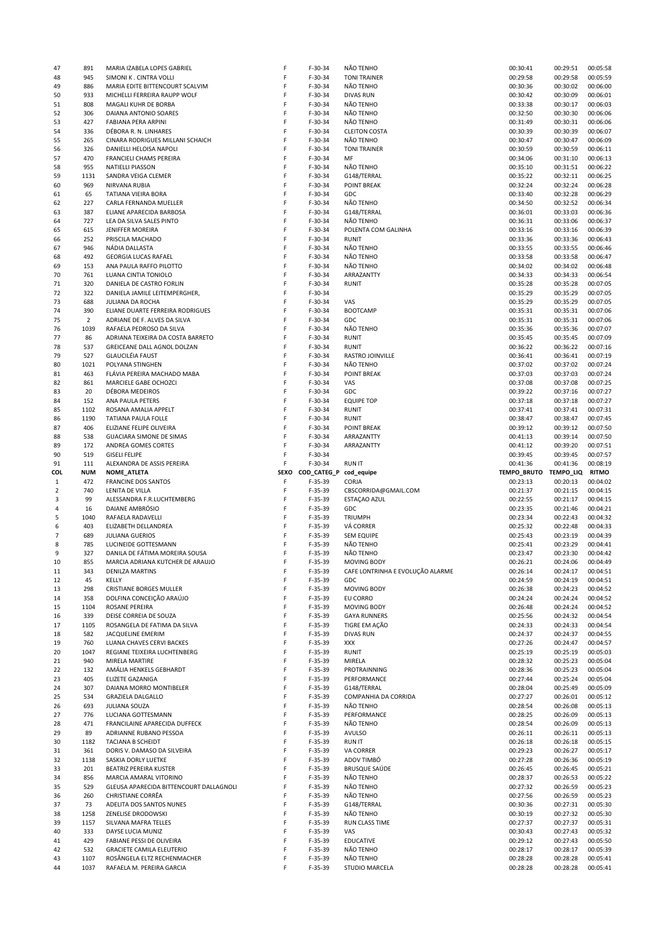| 47           | 891            | MARIA IZABELA LOPES GABRIEL                              | F      | F-30-34                | <b>NAO TENHO</b>                 | 00:30:41              | 00:29:51             | 00:05:58             |
|--------------|----------------|----------------------------------------------------------|--------|------------------------|----------------------------------|-----------------------|----------------------|----------------------|
| 48           | 945            | SIMONI K. CINTRA VOLLI                                   | F      | $F-30-34$              | <b>TONI TRAINER</b>              | 00:29:58              | 00:29:58             | 00:05:59             |
| 49           | 886            | MARIA EDITE BITTENCOURT SCALVIM                          | F      | $F-30-34$              | NÃO TENHO                        | 00:30:36              | 00:30:02             | 00:06:00             |
| 50           | 933            | MICHELLI FERREIRA RAUPP WOLF                             | F      | $F-30-34$              | <b>DIVAS RUN</b>                 | 00:30:42              | 00:30:09             | 00:06:01             |
| 51           | 808            | MAGALI KUHR DE BORBA                                     | F      | $F-30-34$              | NÃO TENHO                        | 00:33:38              | 00:30:17             | 00:06:03             |
| 52           | 306            | DAIANA ANTONIO SOARES                                    | F      | $F-30-34$              | NÃO TENHO                        | 00:32:50              | 00:30:30             | 00:06:06             |
|              |                |                                                          |        |                        |                                  |                       |                      |                      |
| 53           | 427            | FABIANA PERA ARPINI                                      | F      | $F-30-34$              | NÃO TENHO                        | 00:31:49              | 00:30:31             | 00:06:06             |
| 54           | 336            | DÉBORA R. N. LINHARES                                    | F      | $F-30-34$              | <b>CLEITON COSTA</b>             | 00:30:39              | 00:30:39             | 00:06:07             |
| 55           | 265            | CINARA RODRIGUES MILLANI SCHAICH                         | F      | $F-30-34$              | NÃO TENHO                        | 00:30:47              | 00:30:47             | 00:06:09             |
| 56           | 326            | DANIELLI HELOISA NAPOLI                                  | F      | $F-30-34$              | <b>TONI TRAINER</b>              | 00:30:59              | 00:30:59             | 00:06:11             |
| 57           | 470            | FRANCIELI CHAMS PEREIRA                                  | F      | $F-30-34$              | MF                               | 00:34:06              | 00:31:10             | 00:06:13             |
| 58           | 955            | <b>NATIELLI PIASSON</b>                                  | F      | $F-30-34$              | NÃO TENHO                        | 00:35:10              | 00:31:51             | 00:06:22             |
|              |                |                                                          |        |                        |                                  |                       |                      |                      |
| 59           | 1131           | SANDRA VEIGA CLEMER                                      | F      | $F-30-34$              | G148/TERRAL                      | 00:35:22              | 00:32:11             | 00:06:25             |
| 60           | 969            | NIRVANA RUBIA                                            | F      | $F-30-34$              | POINT BREAK                      | 00:32:24              | 00:32:24             | 00:06:28             |
| 61           | 65             | TATIANA VIEIRA BORA                                      | F      | $F-30-34$              | GDC                              | 00:33:40              | 00:32:28             | 00:06:29             |
| 62           | 227            | CARLA FERNANDA MUELLER                                   | F      | $F-30-34$              | NÃO TENHO                        | 00:34:50              | 00:32:52             | 00:06:34             |
| 63           | 387            | ELIANE APARECIDA BARBOSA                                 | F      | $F-30-34$              | G148/TERRAL                      | 00:36:01              | 00:33:03             | 00:06:36             |
|              |                |                                                          | F      |                        |                                  |                       |                      |                      |
| 64           | 727            | LEA DA SILVA SALES PINTO                                 |        | $F-30-34$              | NÃO TENHO                        | 00:36:31              | 00:33:06             | 00:06:37             |
| 65           | 615            | <b>JENIFFER MOREIRA</b>                                  | F      | $F-30-34$              | POLENTA COM GALINHA              | 00:33:16              | 00:33:16             | 00:06:39             |
| 66           | 252            | PRISCILA MACHADO                                         | F      | $F-30-34$              | <b>RUNIT</b>                     | 00:33:36              | 00:33:36             | 00:06:43             |
| 67           | 946            | NÁDIA DALLASTA                                           | F      | $F-30-34$              | NÃO TENHO                        | 00:33:55              | 00:33:55             | 00:06:46             |
| 68           | 492            | <b>GEORGIA LUCAS RAFAEL</b>                              | F      | $F-30-34$              | NÃO TENHO                        | 00:33:58              | 00:33:58             | 00:06:47             |
|              |                |                                                          | F      |                        |                                  |                       |                      |                      |
| 69           | 153            | ANA PAULA RAFFO PILOTTO                                  |        | $F-30-34$              | NÃO TENHO                        | 00:34:02              | 00:34:02             | 00:06:48             |
| 70           | 761            | LUANA CINTIA TONIOLO                                     | F      | $F-30-34$              | ARRAZANTTY                       | 00:34:33              | 00:34:33             | 00:06:54             |
| 71           | 320            | DANIELA DE CASTRO FORLIN                                 | F      | $F-30-34$              | <b>RUNIT</b>                     | 00:35:28              | 00:35:28             | 00:07:05             |
| 72           | 322            | DANIELA JAMILE LEITEMPERGHER,                            | F      | $F-30-34$              |                                  | 00:35:29              | 00:35:29             | 00:07:05             |
| 73           | 688            | JULIANA DA ROCHA                                         | F      | $F-30-34$              | VAS                              | 00:35:29              | 00:35:29             | 00:07:05             |
|              |                |                                                          | F      |                        |                                  |                       |                      |                      |
| 74           | 390            | ELIANE DUARTE FERREIRA RODRIGUES                         |        | $F-30-34$              | <b>BOOTCAMP</b>                  | 00:35:31              | 00:35:31             | 00:07:06             |
| 75           | $\overline{2}$ | ADRIANE DE F. ALVES DA SILVA                             | F      | $F-30-34$              | GDC                              | 00:35:31              | 00:35:31             | 00:07:06             |
| 76           | 1039           | RAFAELA PEDROSO DA SILVA                                 | F      | $F-30-34$              | NÃO TENHO                        | 00:35:36              | 00:35:36             | 00:07:07             |
| 77           | 86             | ADRIANA TEIXEIRA DA COSTA BARRETO                        | F      | $F-30-34$              | <b>RUNIT</b>                     | 00:35:45              | 00:35:45             | 00:07:09             |
| 78           | 537            | GREICEANE DALL AGNOL DOLZAN                              | F      | $F-30-34$              | <b>RUNIT</b>                     | 00:36:22              | 00:36:22             | 00:07:16             |
|              |                |                                                          |        |                        |                                  |                       |                      |                      |
| 79           | 527            | <b>GLAUCILÉIA FAUST</b>                                  | F      | $F-30-34$              | RASTRO JOINVILLE                 | 00:36:41              | 00:36:41             | 00:07:19             |
| 80           | 1021           | POLYANA STINGHEN                                         | F      | $F-30-34$              | NÃO TENHO                        | 00:37:02              | 00:37:02             | 00:07:24             |
| 81           | 463            | FLÁVIA PEREIRA MACHADO MABA                              | F      | $F-30-34$              | <b>POINT BREAK</b>               | 00:37:03              | 00:37:03             | 00:07:24             |
| 82           | 861            | MARCIELE GABE OCHOZCI                                    | F      | $F-30-34$              | VAS                              | 00:37:08              | 00:37:08             | 00:07:25             |
| 83           | 20             | DÉBORA MEDEIROS                                          | F      | $F-30-34$              | GDC                              | 00:39:22              | 00:37:16             | 00:07:27             |
|              |                |                                                          |        |                        |                                  |                       |                      |                      |
| 84           | 152            | ANA PAULA PETERS                                         | F      | $F-30-34$              | <b>EQUIPE TOP</b>                | 00:37:18              | 00:37:18             | 00:07:27             |
| 85           | 1102           | ROSANA AMALIA APPELT                                     | F      | $F-30-34$              | <b>RUNIT</b>                     | 00:37:41              | 00:37:41             | 00:07:31             |
| 86           | 1190           | TATIANA PAULA FOLLE                                      | F      | $F-30-34$              | <b>RUNIT</b>                     | 00:38:47              | 00:38:47             | 00:07:45             |
| 87           | 406            | ELIZIANE FELIPE OLIVEIRA                                 | F      | $F-30-34$              | POINT BREAK                      | 00:39:12              | 00:39:12             | 00:07:50             |
| 88           | 538            | <b>GUACIARA SIMONE DE SIMAS</b>                          | F      | $F-30-34$              | ARRAZANTTY                       | 00:41:13              | 00:39:14             | 00:07:50             |
|              |                |                                                          |        |                        |                                  |                       |                      |                      |
| 89           | 172            | ANDREA GOMES CORTES                                      | F      | $F-30-34$              | ARRAZANTTY                       | 00:41:12              | 00:39:20             | 00:07:51             |
| 90           | 519            | <b>GISELI FELIPE</b>                                     | F      | $F-30-34$              |                                  | 00:39:45              | 00:39:45             | 00:07:57             |
| 91           |                | ALEXANDRA DE ASSIS PEREIRA                               | F      | $F-30-34$              |                                  |                       |                      | 00:08:19             |
|              | 111            |                                                          |        |                        | <b>RUN IT</b>                    | 00:41:36              | 00:41:36             |                      |
|              |                |                                                          |        |                        |                                  |                       |                      |                      |
| COL          | NUM            | NOME_ATLETA                                              | SEXO   | COD_CATEG_P            | cod_equipe                       | TEMPO_BRUTO TEMPO_LIQ |                      | <b>RITMO</b>         |
| $\mathbf{1}$ | 472            | <b>FRANCINE DOS SANTOS</b>                               | F      | $F-35-39$              | CORJA                            | 00:23:13              | 00:20:13             | 00:04:02             |
| $\mathbf 2$  | 740            | LENITA DE VILLA                                          | F      | $F-35-39$              | CBSCORRIDA@GMAIL.COM             | 00:21:37              | 00:21:15             | 00:04:15             |
| 3            | 99             | ALESSANDRA F.R.LUCHTEMBERG                               | F      | $F-35-39$              | ESTAÇÃO AZUL                     | 00:22:55              | 00:21:17             | 00:04:15             |
| 4            | 16             | DAIANE AMBRÓSIO                                          | F      | $F-35-39$              | GDC                              | 00:23:35              | 00:21:46             | 00:04:21             |
|              |                |                                                          | F      |                        |                                  |                       |                      |                      |
| 5            | 1040           | RAFAELA RADAVELLI                                        |        | $F-35-39$              | <b>TRIUMPH</b>                   | 00:23:34              | 00:22:43             | 00:04:32             |
| 6            | 403            | ELIZABETH DELLANDREA                                     | F      | $F-35-39$              | VÁ CORRER                        | 00:25:32              | 00:22:48             | 00:04:33             |
| 7            | 689            | <b>JULIANA GUERIOS</b>                                   | F      | $F-35-39$              | <b>SEM EQUIPE</b>                | 00:25:43              | 00:23:19             | 00:04:39             |
| 8            | 785            | LUCINEIDE GOTTESMANN                                     | F      | $F-35-39$              | NÃO TENHO                        | 00:25:41              | 00:23:29             | 00:04:41             |
| 9            | 327            | DANILA DE FÁTIMA MOREIRA SOUSA                           | F      | $F-35-39$              | NÃO TENHO                        | 00:23:47              | 00:23:30             | 00:04:42             |
| 10           | 855            |                                                          | F      |                        |                                  |                       |                      |                      |
|              |                | MARCIA ADRIANA KUTCHER DE ARAUJO                         |        | $F-35-39$              | <b>MOVING BODY</b>               | 00:26:21              | 00:24:06             | 00:04:49             |
| 11           | 343            | DENILZA MARTINS                                          | F      | F-35-39                | CAFE LONTRINHA E EVOLUÇÃO ALARME | 00:26:14              | 00:24:17             | 00:04:51             |
| 12           | 45             | KELLY                                                    | F      | $F-35-39$              | GDC                              | 00:24:59              | 00:24:19             | 00:04:51             |
| 13           | 298            | <b>CRISTIANE BORGES MULLER</b>                           | F      | $F-35-39$              | <b>MOVING BODY</b>               | 00:26:38              | 00:24:23             | 00:04:52             |
| 14           | 358            | DOLFINA CONCEIÇÃO ARAÚJO                                 | F      | $F-35-39$              | EU CORRO                         | 00:24:24              | 00:24:24             | 00:04:52             |
| 15           | 1104           | ROSANE PEREIRA                                           | F      | $F-35-39$              | <b>MOVING BODY</b>               | 00:26:48              | 00:24:24             | 00:04:52             |
| 16           | 339            | DEISE CORREIA DE SOUZA                                   | F      | $F-35-39$              | <b>GAYA RUNNERS</b>              | 00:25:56              | 00:24:32             | 00:04:54             |
|              |                |                                                          |        |                        |                                  |                       |                      |                      |
| 17           | 1105           | ROSANGELA DE FATIMA DA SILVA                             | F      | $F-35-39$              | TIGRE EM AÇÃO                    | 00:24:33              | 00:24:33             | 00:04:54             |
| 18           | 582            | <b>JACQUELINE EMERIM</b>                                 | F      | $F-35-39$              | <b>DIVAS RUN</b>                 | 00:24:37              | 00:24:37             | 00:04:55             |
| 19           | 760            | LUANA CHAVES CERVI BACKES                                | F      | $F-35-39$              | XXX                              | 00:27:26              | 00:24:47             | 00:04:57             |
| 20           | 1047           | REGIANE TEIXEIRA LUCHTENBERG                             | F      | $F-35-39$              | <b>RUNIT</b>                     | 00:25:19              | 00:25:19             | 00:05:03             |
| 21           | 940            | MIRELA MARTIRE                                           | F      | $F-35-39$              | MIRELA                           | 00:28:32              | 00:25:23             | 00:05:04             |
|              |                |                                                          |        |                        |                                  |                       |                      |                      |
| 22           | 132            | AMÁLIA HENKELS GEBHARDT                                  | F      | $F-35-39$              | PROTRAINNING                     | 00:28:36              | 00:25:23             | 00:05:04             |
| 23           | 405            | ELIZETE GAZANIGA                                         | F      | $F-35-39$              | PERFORMANCE                      | 00:27:44              | 00:25:24             | 00:05:04             |
| 24           | 307            | DAIANA MORRO MONTIBELER                                  | F      | $F-35-39$              | G148/TERRAL                      | 00:28:04              | 00:25:49             | 00:05:09             |
| 25           | 534            | <b>GRAZIELA DALGALLO</b>                                 | F      | $F-35-39$              | COMPANHIA DA CORRIDA             | 00:27:27              | 00:26:01             | 00:05:12             |
|              |                |                                                          | F      |                        | NÃO TENHO                        |                       |                      |                      |
| 26           | 693            | <b>JULIANA SOUZA</b>                                     |        | $F-35-39$              |                                  | 00:28:54              | 00:26:08             | 00:05:13             |
| 27           | 776            | LUCIANA GOTTESMANN                                       | F      | $F-35-39$              | PERFORMANCE                      | 00:28:25              | 00:26:09             | 00:05:13             |
| 28           | 471            | FRANCILAINE APARECIDA DUFFECK                            | F      | $F-35-39$              | NÃO TENHO                        | 00:28:54              | 00:26:09             | 00:05:13             |
| 29           | 89             | ADRIANNE RUBANO PESSOA                                   | F      | $F-35-39$              | <b>AVULSO</b>                    | 00:26:11              | 00:26:11             | 00:05:13             |
| 30           | 1182           | TACIANA B SCHEIDT                                        | F      | $F-35-39$              | <b>RUN IT</b>                    | 00:26:18              | 00:26:18             | 00:05:15             |
| 31           | 361            | DORIS V. DAMASO DA SILVEIRA                              | F      | $F-35-39$              | VA CORRER                        | 00:29:23              | 00:26:27             | 00:05:17             |
| 32           | 1138           | SASKIA DORLY LUETKE                                      | F      | $F-35-39$              | ADOV TIMBÓ                       | 00:27:28              | 00:26:36             | 00:05:19             |
|              |                |                                                          |        |                        |                                  |                       |                      |                      |
| 33           | 201            | BEATRIZ PEREIRA KUSTER                                   | F      | $F-35-39$              | <b>BRUSQUE SAÚDE</b>             | 00:26:45              | 00:26:45             | 00:05:21             |
| 34           | 856            | MARCIA AMARAL VITORINO                                   | F      | $F-35-39$              | NÃO TENHO                        | 00:28:37              | 00:26:53             | 00:05:22             |
| 35           | 529            | GLEUSA APARECIDA BITTENCOURT DALLAGNOLI                  | F      | $F-35-39$              | NÃO TENHO                        | 00:27:32              | 00:26:59             | 00:05:23             |
| 36           | 260            | CHRISTIANE CORRÊA                                        | F      | $F-35-39$              | NÃO TENHO                        | 00:27:56              | 00:26:59             | 00:05:23             |
| 37           | 73             | ADELITA DOS SANTOS NUNES                                 | F      | $F-35-39$              | G148/TERRAL                      | 00:30:36              | 00:27:31             | 00:05:30             |
|              |                |                                                          |        |                        |                                  |                       |                      |                      |
| 38           | 1258           | ZENELISE DRODOWSKI                                       | F      | $F-35-39$              | NÃO TENHO                        | 00:30:19              | 00:27:32             | 00:05:30             |
| 39           | 1157           | SILVANA MAFRA TELLES                                     | F      | $F-35-39$              | RUN CLASS TIME                   | 00:27:37              | 00:27:37             | 00:05:31             |
| 40           | 333            | DAYSE LUCIA MUNIZ                                        | F      | $F-35-39$              | VAS                              | 00:30:43              | 00:27:43             | 00:05:32             |
| 41           | 429            | FABIANE PESSI DE OLIVEIRA                                | F      | $F-35-39$              | <b>EDUCATIVE</b>                 | 00:29:12              | 00:27:43             | 00:05:50             |
| 42           | 532            | <b>GRACIETE CAMILA ELEUTERIO</b>                         | F      | $F-35-39$              | NÃO TENHO                        | 00:28:17              | 00:28:17             | 00:05:39             |
|              |                |                                                          |        |                        |                                  |                       |                      |                      |
| 43<br>44     | 1107<br>1037   | ROSÂNGELA ELTZ RECHENMACHER<br>RAFAELA M. PEREIRA GARCIA | F<br>F | $F-35-39$<br>$F-35-39$ | NÃO TENHO<br>STUDIO MARCELA      | 00:28:28<br>00:28:28  | 00:28:28<br>00:28:28 | 00:05:41<br>00:05:41 |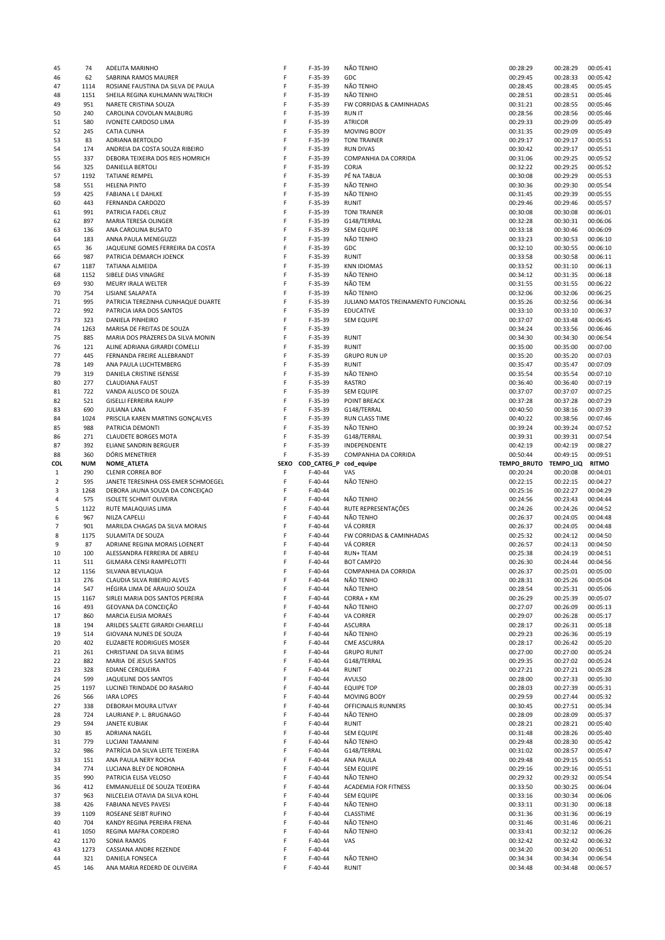| 45             | 74         | ADELITA MARINHO                     | F    | $F-35-39$              | NÃO TENHO                           | 00:28:29              | 00:28:29 | 00:05:41     |
|----------------|------------|-------------------------------------|------|------------------------|-------------------------------------|-----------------------|----------|--------------|
| 46             | 62         | SABRINA RAMOS MAURER                | F    | $F-35-39$              | GDC                                 | 00:29:45              | 00:28:33 | 00:05:42     |
| 47             | 1114       | ROSIANE FAUSTINA DA SILVA DE PAULA  | F    | $F-35-39$              | NÃO TENHO                           | 00:28:45              | 00:28:45 | 00:05:45     |
| 48             | 1151       | SHEILA REGINA KUHLMANN WALTRICH     | F    | $F-35-39$              | NÃO TENHO                           | 00:28:51              | 00:28:51 | 00:05:46     |
| 49             | 951        | NARETE CRISTINA SOUZA               | F    | $F-35-39$              | FW CORRIDAS & CAMINHADAS            | 00:31:21              | 00:28:55 | 00:05:46     |
|                | 240        |                                     | F    |                        |                                     | 00:28:56              | 00:28:56 |              |
| 50             |            | CAROLINA COVOLAN MALBURG            |      | $F-35-39$              | <b>RUN IT</b>                       |                       |          | 00:05:46     |
| 51             | 580        | IVONETE CARDOSO LIMA                | F    | $F-35-39$              | <b>ATRICOR</b>                      | 00:29:33              | 00:29:09 | 00:05:49     |
| 52             | 245        | <b>CATIA CUNHA</b>                  | F    | $F-35-39$              | <b>MOVING BODY</b>                  | 00:31:35              | 00:29:09 | 00:05:49     |
| 53             | 83         | ADRIANA BERTOLDO                    | F    | $F-35-39$              | <b>TONI TRAINER</b>                 | 00:29:17              | 00:29:17 | 00:05:51     |
| 54             | 174        | ANDREIA DA COSTA SOUZA RIBEIRO      | F    | $F-35-39$              | <b>RUN DIVAS</b>                    | 00:30:42              | 00:29:17 | 00:05:51     |
| 55             | 337        | DEBORA TEIXEIRA DOS REIS HOMRICH    | F    | $F-35-39$              | COMPANHIA DA CORRIDA                | 00:31:06              | 00:29:25 | 00:05:52     |
|                |            |                                     |      |                        |                                     |                       |          |              |
| 56             | 325        | DANIELLA BERTOLI                    | F    | $F-35-39$              | CORJA                               | 00:32:22              | 00:29:25 | 00:05:52     |
| 57             | 1192       | <b>TATIANE REMPEL</b>               | F    | $F-35-39$              | PÉ NA TABUA                         | 00:30:08              | 00:29:29 | 00:05:53     |
| 58             | 551        | <b>HELENA PINTO</b>                 | F    | $F-35-39$              | NÃO TENHO                           | 00:30:36              | 00:29:30 | 00:05:54     |
| 59             | 425        | <b>FABIANA L E DAHLKE</b>           | F    | $F-35-39$              | NÃO TENHO                           | 00:31:45              | 00:29:39 | 00:05:55     |
| 60             | 443        | FERNANDA CARDOZO                    | F    | $F-35-39$              | <b>RUNIT</b>                        | 00:29:46              | 00:29:46 | 00:05:57     |
| 61             | 991        | PATRICIA FADEL CRUZ                 | F    | $F-35-39$              | <b>TONI TRAINER</b>                 | 00:30:08              | 00:30:08 | 00:06:01     |
|                |            |                                     |      |                        |                                     |                       |          |              |
| 62             | 897        | MARIA TERESA OLINGER                | F    | $F-35-39$              | G148/TERRAL                         | 00:32:28              | 00:30:31 | 00:06:06     |
| 63             | 136        | ANA CAROLINA BUSATO                 | F    | $F-35-39$              | <b>SEM EQUIPE</b>                   | 00:33:18              | 00:30:46 | 00:06:09     |
| 64             | 183        | ANNA PAULA MENEGUZZI                | F    | $F-35-39$              | NÃO TENHO                           | 00:33:23              | 00:30:53 | 00:06:10     |
| 65             | 36         | JAQUELINE GOMES FERREIRA DA COSTA   | F    | $F-35-39$              | GDC                                 | 00:32:10              | 00:30:55 | 00:06:10     |
| 66             | 987        | PATRICIA DEMARCH JOENCK             | F    | $F-35-39$              | <b>RUNIT</b>                        | 00:33:58              | 00:30:58 | 00:06:11     |
|                |            |                                     | F    |                        |                                     |                       |          |              |
| 67             | 1187       | TATIANA ALMEIDA                     |      | $F-35-39$              | <b>KNN IDIOMAS</b>                  | 00:33:52              | 00:31:10 | 00:06:13     |
| 68             | 1152       | SIBELE DIAS VINAGRE                 | F    | $F-35-39$              | NÃO TENHO                           | 00:34:12              | 00:31:35 | 00:06:18     |
| 69             | 930        | MEURY IRALA WELTER                  | F    | $F-35-39$              | NÃO TEM                             | 00:31:55              | 00:31:55 | 00:06:22     |
| 70             | 754        | LISIANE SALAPATA                    | F    | $F-35-39$              | NÃO TENHO                           | 00:32:06              | 00:32:06 | 00:06:25     |
| 71             | 995        | PATRICIA TEREZINHA CUNHAQUE DUARTE  | F    | $F-35-39$              | JULIANO MATOS TREINAMENTO FUNCIONAL | 00:35:26              | 00:32:56 | 00:06:34     |
| 72             | 992        | PATRICIA IARA DOS SANTOS            | F    | $F-35-39$              | <b>EDUCATIVE</b>                    | 00:33:10              | 00:33:10 | 00:06:37     |
|                |            |                                     |      |                        |                                     |                       |          |              |
| 73             | 323        | DANIELA PINHEIRO                    | F    | $F-35-39$              | <b>SEM EQUIPE</b>                   | 00:37:07              | 00:33:48 | 00:06:45     |
| 74             | 1263       | MARISA DE FREITAS DE SOUZA          | F    | $F-35-39$              |                                     | 00:34:24              | 00:33:56 | 00:06:46     |
| 75             | 885        | MARIA DOS PRAZERES DA SILVA MONIN   | F    | $F-35-39$              | <b>RUNIT</b>                        | 00:34:30              | 00:34:30 | 00:06:54     |
| 76             | 121        | ALINE ADRIANA GIRARDI COMELLI       | F    | $F-35-39$              | <b>RUNIT</b>                        | 00:35:00              | 00:35:00 | 00:07:00     |
| 77             | 445        | FERNANDA FREIRE ALLEBRANDT          | F    | $F-35-39$              | <b>GRUPO RUN UP</b>                 | 00:35:20              | 00:35:20 | 00:07:03     |
|                |            |                                     |      |                        |                                     |                       |          |              |
| 78             | 149        | ANA PAULA LUCHTEMBERG               | F    | $F-35-39$              | <b>RUNIT</b>                        | 00:35:47              | 00:35:47 | 00:07:09     |
| 79             | 319        | DANIELA CRISTINE ISENSSE            | F    | $F-35-39$              | NÃO TENHO                           | 00:35:54              | 00:35:54 | 00:07:10     |
| 80             | 277        | <b>CLAUDIANA FAUST</b>              | F    | $F-35-39$              | <b>RASTRO</b>                       | 00:36:40              | 00:36:40 | 00:07:19     |
| 81             | 722        | VANDA ALUSCO DE SOUZA               | F    | $F-35-39$              | <b>SEM EQUIPE</b>                   | 00:37:07              | 00:37:07 | 00:07:25     |
| 82             | 521        | <b>GISELLI FERREIRA RAUPP</b>       | F    | $F-35-39$              | <b>POINT BREACK</b>                 | 00:37:28              | 00:37:28 | 00:07:29     |
|                |            |                                     | F    |                        |                                     |                       |          |              |
| 83             | 690        | <b>JULIANA LANA</b>                 |      | $F-35-39$              | G148/TERRAL                         | 00:40:50              | 00:38:16 | 00:07:39     |
| 84             | 1024       | PRISCILA KAREN MARTINS GONÇALVES    | F    | $F-35-39$              | RUN CLASS TIME                      | 00:40:22              | 00:38:56 | 00:07:46     |
| 85             | 988        | PATRICIA DEMONTI                    | F    | $F-35-39$              | NÃO TENHO                           | 00:39:24              | 00:39:24 | 00:07:52     |
| 86             | 271        | <b>CLAUDETE BORGES MOTA</b>         | F    | $F-35-39$              | G148/TERRAL                         | 00:39:31              | 00:39:31 | 00:07:54     |
| 87             | 392        | ELIANE SANDRIN BERGUER              | F    | $F-35-39$              | INDEPENDENTE                        | 00:42:19              | 00:42:19 | 00:08:27     |
| 88             | 360        | DÓRIS MENETRIER                     | F    | $F-35-39$              | COMPANHIA DA CORRIDA                | 00:50:44              | 00:49:15 | 00:09:51     |
|                |            |                                     |      |                        |                                     |                       |          |              |
|                |            |                                     |      |                        |                                     |                       |          |              |
| COL            | <b>NUM</b> | NOME_ATLETA                         | SEXO | COD_CATEG_P cod_equipe |                                     | TEMPO_BRUTO TEMPO_LIQ |          | <b>RITMO</b> |
| $\mathbf{1}$   | 290        | <b>CLENIR CORREA BOF</b>            | F    | $F-40-44$              | VAS                                 | 00:20:24              | 00:20:08 | 00:04:01     |
| $\overline{2}$ | 595        | JANETE TERESINHA OSS-EMER SCHMOEGEL | F    | $F-40-44$              | NÃO TENHO                           | 00:22:15              | 00:22:15 | 00:04:27     |
|                |            |                                     | F    |                        |                                     | 00:25:16              | 00:22:27 | 00:04:29     |
| 3              | 1268       | DEBORA JAUNA SOUZA DA CONCEIÇÃO     |      | $F-40-44$              |                                     |                       |          |              |
| 4              | 575        | <b>ISOLETE SCHMIT OLIVEIRA</b>      | F    | $F-40-44$              | NÃO TENHO                           | 00:24:56              | 00:23:43 | 00:04:44     |
| 5              | 1122       | RUTE MALAQUIAS LIMA                 | F    | $F-40-44$              | RUTE REPRESENTAÇÕES                 | 00:24:26              | 00:24:26 | 00:04:52     |
| 6              | 967        | NILZA CAPELLI                       | F    | $F-40-44$              | NÃO TENHO                           | 00:26:37              | 00:24:05 | 00:04:48     |
| $\overline{7}$ | 901        | MARILDA CHAGAS DA SILVA MORAIS      | F    | $F-40-44$              | VÁ CORRER                           | 00:26:37              | 00:24:05 | 00:04:48     |
| 8              | 1175       | SULAMITA DE SOUZA                   | F    | $F-40-44$              | FW CORRIDAS & CAMINHADAS            | 00:25:32              | 00:24:12 | 00:04:50     |
|                |            |                                     |      |                        |                                     |                       |          |              |
| 9              | 87         | ADRIANE REGINA MORAIS LOENERT       | F    | $F-40-44$              | VÁ CORRER                           | 00:26:57              | 00:24:13 | 00:04:50     |
| 10             | 100        | ALESSANDRA FERREIRA DE ABREU        | F    | $F-40-44$              | <b>RUN+TEAM</b>                     | 00:25:38              | 00:24:19 | 00:04:51     |
| 11             | 511        | GILMARA CENSI RAMPELOTTI            | F    | $F-40-44$              | <b>BOT CAMP20</b>                   | 00:26:30              | 00:24:44 | 00:04:56     |
| 12             | 1156       | SILVANA BEVILAQUA                   | F    | $F-40-44$              | COMPANHIA DA CORRIDA                | 00:26:37              | 00:25:01 | 00:05:00     |
| 13             | 276        | CLAUDIA SILVA RIBEIRO ALVES         | F    | $F-40-44$              | NÃO TENHO                           | 00:28:31              | 00:25:26 | 00:05:04     |
| 14             | 547        | HÉGIRA LIMA DE ARAUJO SOUZA         | F    | $F-40-44$              | NÃO TENHO                           | 00:28:54              | 00:25:31 | 00:05:06     |
|                |            |                                     |      |                        |                                     |                       |          |              |
| 15             | 1167       | SIRLEI MARIA DOS SANTOS PEREIRA     | F    | $F-40-44$              | CORRA + KM                          | 00:26:29              | 00:25:39 | 00:05:07     |
| 16             | 493        | GEOVANA DA CONCEIÇÃO                | F    | $F-40-44$              | NÃO TENHO                           | 00:27:07              | 00:26:09 | 00:05:13     |
| 17             | 860        | MARCIA ELISIA MORAES                | F    | $F-40-44$              | VA CORRER                           | 00:29:07              | 00:26:28 | 00:05:17     |
| 18             | 194        | ARILDES SALETE GIRARDI CHIARELLI    | F    | $F-40-44$              | <b>ASCURRA</b>                      | 00:28:17              | 00:26:31 | 00:05:18     |
| 19             | 514        | GIOVANA NUNES DE SOUZA              | F    | $F-40-44$              | NÃO TENHO                           | 00:29:23              | 00:26:36 | 00:05:19     |
| 20             | 402        | ELIZABETE RODRIGUES MOSER           | F    | $F-40-44$              | <b>CME ASCURRA</b>                  | 00:28:17              | 00:26:42 | 00:05:20     |
| 21             | 261        | CHRISTIANE DA SILVA BEIMS           | F    | $F-40-44$              | <b>GRUPO RUNIT</b>                  | 00:27:00              | 00:27:00 | 00:05:24     |
|                |            |                                     |      |                        |                                     |                       |          |              |
| 22             | 882        | MARIA DE JESUS SANTOS               | F    | $F-40-44$              | G148/TERRAL                         | 00:29:35              | 00:27:02 | 00:05:24     |
| 23             | 328        | <b>EDIANE CERQUEIRA</b>             | F    | $F-40-44$              | <b>RUNIT</b>                        | 00:27:21              | 00:27:21 | 00:05:28     |
| 24             | 599        | JAQUELINE DOS SANTOS                | F    | $F-40-44$              | <b>AVULSO</b>                       | 00:28:00              | 00:27:33 | 00:05:30     |
| 25             | 1197       | LUCINEI TRINDADE DO RASARIO         | F    | $F-40-44$              | <b>EQUIPE TOP</b>                   | 00:28:03              | 00:27:39 | 00:05:31     |
| 26             | 566        | <b>IARA LOPES</b>                   | F    | $F-40-44$              | <b>MOVING BODY</b>                  | 00:29:59              | 00:27:44 | 00:05:32     |
|                | 338        |                                     | F    | $F-40-44$              |                                     |                       |          |              |
| 27             |            | DEBORAH MOURA LITVAY                |      |                        | OFFICINALIS RUNNERS                 | 00:30:45              | 00:27:51 | 00:05:34     |
| 28             | 724        | LAURIANE P. L. BRUGNAGO             | F    | $F-40-44$              | NÃO TENHO                           | 00:28:09              | 00:28:09 | 00:05:37     |
| 29             | 594        | <b>JANETE KUBIAK</b>                | F    | $F-40-44$              | <b>RUNIT</b>                        | 00:28:21              | 00:28:21 | 00:05:40     |
| 30             | 85         | ADRIANA NAGEL                       | F    | $F-40-44$              | <b>SEM EQUIPE</b>                   | 00:31:48              | 00:28:26 | 00:05:40     |
| 31             | 779        | LUCIANI TAMANINI                    | F    | $F-40-44$              | NÃO TENHO                           | 00:29:48              | 00:28:30 | 00:05:42     |
| 32             | 986        | PATRÍCIA DA SILVA LEITE TEIXEIRA    | F    | $F-40-44$              | G148/TERRAL                         | 00:31:02              | 00:28:57 | 00:05:47     |
| 33             | 151        | ANA PAULA NERY ROCHA                | F    | $F-40-44$              | ANA PAULA                           | 00:29:48              | 00:29:15 | 00:05:51     |
|                |            |                                     | F    |                        |                                     |                       |          |              |
| 34             | 774        | LUCIANA BLEY DE NORONHA             |      | $F-40-44$              | <b>SEM EQUIPE</b>                   | 00:29:16              | 00:29:16 | 00:05:51     |
| 35             | 990        | PATRICIA ELISA VELOSO               | F    | $F-40-44$              | NÃO TENHO                           | 00:29:32              | 00:29:32 | 00:05:54     |
| 36             | 412        | EMMANUELLE DE SOUZA TEIXEIRA        | F    | $F-40-44$              | <b>ACADEMIA FOR FITNESS</b>         | 00:33:50              | 00:30:25 | 00:06:04     |
| 37             | 963        | NILCELEIA OTAVIA DA SILVA KOHL      | F    | $F-40-44$              | <b>SEM EQUIPE</b>                   | 00:33:16              | 00:30:34 | 00:06:06     |
| 38             | 426        | FABIANA NEVES PAVESI                | F    | $F-40-44$              | NÃO TENHO                           | 00:33:11              | 00:31:30 | 00:06:18     |
| 39             | 1109       | ROSEANE SEIBT RUFINO                | F    | $F-40-44$              | CLASSTIME                           | 00:31:36              | 00:31:36 | 00:06:19     |
|                |            |                                     |      |                        |                                     |                       |          |              |
| 40             | 704        | KANDY REGINA PEREIRA FRENA          | F    | $F-40-44$              | NÃO TENHO                           | 00:31:46              | 00:31:46 | 00:06:21     |
| 41             | 1050       | REGINA MAFRA CORDEIRO               | F    | $F-40-44$              | NÃO TENHO                           | 00:33:41              | 00:32:12 | 00:06:26     |
| 42             | 1170       | SONIA RAMOS                         | F    | $F-40-44$              | VAS                                 | 00:32:42              | 00:32:42 | 00:06:32     |
| 43             | 1273       | CASSIANA ANDRE REZENDE              | F    | $F-40-44$              |                                     | 00:34:20              | 00:34:20 | 00:06:51     |
| 44             | 321        | DANIELA FONSECA                     | F    | $F-40-44$              | NÃO TENHO                           | 00:34:34              | 00:34:34 | 00:06:54     |
| 45             | 146        | ANA MARIA REDERD DE OLIVEIRA        | F    | $F-40-44$              | <b>RUNIT</b>                        | 00:34:48              | 00:34:48 | 00:06:57     |